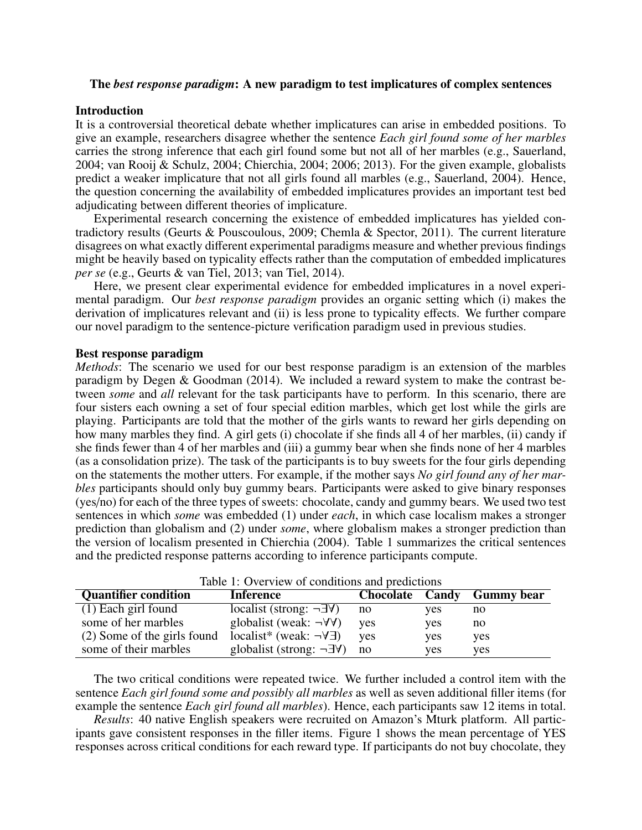# The *best response paradigm*: A new paradigm to test implicatures of complex sentences

## Introduction

It is a controversial theoretical debate whether implicatures can arise in embedded positions. To give an example, researchers disagree whether the sentence *Each girl found some of her marbles* carries the strong inference that each girl found some but not all of her marbles (e.g., Sauerland, 2004; van Rooij & Schulz, 2004; Chierchia, 2004; 2006; 2013). For the given example, globalists predict a weaker implicature that not all girls found all marbles (e.g., Sauerland, 2004). Hence, the question concerning the availability of embedded implicatures provides an important test bed adjudicating between different theories of implicature.

Experimental research concerning the existence of embedded implicatures has yielded contradictory results (Geurts & Pouscoulous, 2009; Chemla & Spector, 2011). The current literature disagrees on what exactly different experimental paradigms measure and whether previous findings might be heavily based on typicality effects rather than the computation of embedded implicatures *per se* (e.g., Geurts & van Tiel, 2013; van Tiel, 2014).

Here, we present clear experimental evidence for embedded implicatures in a novel experimental paradigm. Our *best response paradigm* provides an organic setting which (i) makes the derivation of implicatures relevant and (ii) is less prone to typicality effects. We further compare our novel paradigm to the sentence-picture verification paradigm used in previous studies.

## Best response paradigm

*Methods*: The scenario we used for our best response paradigm is an extension of the marbles paradigm by Degen & Goodman (2014). We included a reward system to make the contrast between *some* and *all* relevant for the task participants have to perform. In this scenario, there are four sisters each owning a set of four special edition marbles, which get lost while the girls are playing. Participants are told that the mother of the girls wants to reward her girls depending on how many marbles they find. A girl gets (i) chocolate if she finds all 4 of her marbles, (ii) candy if she finds fewer than 4 of her marbles and (iii) a gummy bear when she finds none of her 4 marbles (as a consolidation prize). The task of the participants is to buy sweets for the four girls depending on the statements the mother utters. For example, if the mother says *No girl found any of her marbles* participants should only buy gummy bears. Participants were asked to give binary responses (yes/no) for each of the three types of sweets: chocolate, candy and gummy bears. We used two test sentences in which *some* was embedded (1) under *each*, in which case localism makes a stronger prediction than globalism and (2) under *some*, where globalism makes a stronger prediction than the version of localism presented in Chierchia (2004). Table 1 summarizes the critical sentences and the predicted response patterns according to inference participants compute.

| Table 1. Overview of conditions and predictions |                                             |                 |     |                   |  |
|-------------------------------------------------|---------------------------------------------|-----------------|-----|-------------------|--|
| <b>Quantifier condition</b>                     | <b>Inference</b>                            | Chocolate Candy |     | <b>Gummy</b> bear |  |
| $(1)$ Each girl found                           | localist (strong: $\neg \exists \forall$ )  | no              | yes | no                |  |
| some of her marbles                             | globalist (weak: $\neg \forall \forall$ )   | <b>ves</b>      | yes | no                |  |
| (2) Some of the girls found                     | localist* (weak: $\neg \forall \exists$ )   | <b>ves</b>      | yes | yes               |  |
| some of their marbles                           | globalist (strong: $\neg \exists \forall$ ) | no              | yes | yes               |  |

|  | Table 1: Overview of conditions and predictions |
|--|-------------------------------------------------|
|  |                                                 |

The two critical conditions were repeated twice. We further included a control item with the sentence *Each girl found some and possibly all marbles* as well as seven additional filler items (for example the sentence *Each girl found all marbles*). Hence, each participants saw 12 items in total.

*Results*: 40 native English speakers were recruited on Amazon's Mturk platform. All participants gave consistent responses in the filler items. Figure 1 shows the mean percentage of YES responses across critical conditions for each reward type. If participants do not buy chocolate, they